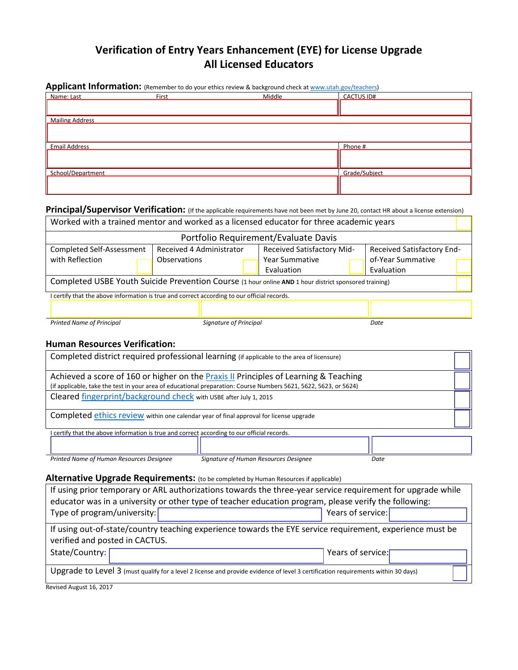# **Verification of Entry Years Enhancement (EYE) for License Upgrade All Licensed Educators**

| Name: Last             | First | Middle | <b>CACTUS ID#</b> |  |
|------------------------|-------|--------|-------------------|--|
|                        |       |        |                   |  |
| <b>Mailing Address</b> |       |        |                   |  |
|                        |       |        |                   |  |
| <b>Email Address</b>   |       |        | Phone #           |  |
|                        |       |        |                   |  |
|                        |       |        |                   |  |
| School/Department      |       |        | Grade/Subject     |  |

# **Principal/Supervisor Verification:** (If the applicable requirements have not been met by June 20, contact HR about a license extension)

| Worked with a trained mentor and worked as a licensed educator for three academic years               |                          |                            |                            |  |
|-------------------------------------------------------------------------------------------------------|--------------------------|----------------------------|----------------------------|--|
| Portfolio Requirement/Evaluate Davis                                                                  |                          |                            |                            |  |
| Completed Self-Assessment                                                                             | Received 4 Administrator | Received Satisfactory Mid- | Received Satisfactory End- |  |
| with Reflection                                                                                       | Observations             | <b>Year Summative</b>      | of-Year Summative          |  |
|                                                                                                       |                          | Evaluation                 | Evaluation                 |  |
| Completed USBE Youth Suicide Prevention Course (1 hour online AND 1 hour district sponsored training) |                          |                            |                            |  |
| I certify that the above information is true and correct according to our official records.           |                          |                            |                            |  |
|                                                                                                       |                          |                            |                            |  |
| <b>Printed Name of Principal</b>                                                                      | Signature of Principal   |                            | Date                       |  |

#### **Human Resources Verification:**

| Completed district required professional learning (if applicable to the area of licensure)                                                                                                               |                                       |      |  |  |
|----------------------------------------------------------------------------------------------------------------------------------------------------------------------------------------------------------|---------------------------------------|------|--|--|
| Achieved a score of 160 or higher on the Praxis II Principles of Learning & Teaching<br>(if applicable, take the test in your area of educational preparation: Course Numbers 5621, 5622, 5623, or 5624) |                                       |      |  |  |
| Cleared fingerprint/background check with USBE after July 1, 2015                                                                                                                                        |                                       |      |  |  |
| Completed ethics review within one calendar year of final approval for license upgrade                                                                                                                   |                                       |      |  |  |
| certify that the above information is true and correct according to our official records.                                                                                                                |                                       |      |  |  |
|                                                                                                                                                                                                          |                                       |      |  |  |
| Printed Name of Human Resources Designee                                                                                                                                                                 | Signature of Human Resources Designee | Date |  |  |
| Alternative Upgrade Requirements: (to be completed by Human Resources if applicable)<br>If using prior temperany or ADL qutberizations towards the three vear sequice requirement for upgrade while      |                                       |      |  |  |

# If using prior temporary or ARL authorizations towards the three-year service requirement for upgrade while educator was in a university or other type of teacher education program, please verify the following: Type of program/university: Type of program/university: If using out-of-state/country teaching experience towards the EYE service requirement, experience must be verified and posted in CACTUS. State/Country: The Country: The Country: The Country: The Country: The Country: The Country: The Country: The Country: The Country: The Country: The Country: The Country: The Country: The Country: The Country: The Country: Upgrade to Level 3 (must qualify for a level 2 license and provide evidence of level 3 certification requirements within 30 days)

Revised August 16, 2017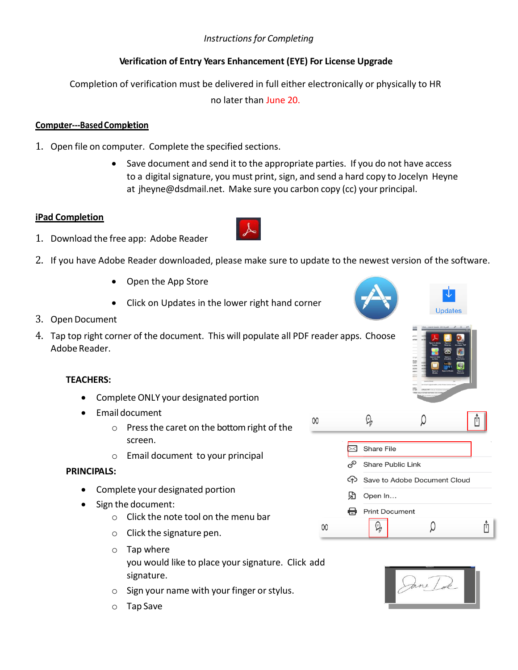# *Instructions for Completing*

# **Verification of Entry Years Enhancement (EYE) For License Upgrade**

Completion of verification must be delivered in full either electronically or physically to HR

no later than June 20.

## **Computer---Based Completion**

- 1. Open file on computer. Complete the specified sections.
	- Save document and send it to the appropriate parties. If you do not have access to a digital signature, you must print, sign, and send a hard copy to Jocelyn Heyne at [jheyne@dsdmail.net.](mailto:jheyne@dsdmail.net) Make sure you carbon copy (cc) your principal.

00

#### **iPad Completion**

- 1. Download the free app: Adobe Reader
- 2. If you have Adobe Reader downloaded, please make sure to update to the newest version of the software.
	- Open the App Store
	- Click on Updates in the lower right hand corner
- 3. Open Document
- 4. Tap top right corner of the document. This will populate all PDF reader apps. Choose Adobe Reader.

#### **TEACHERS:**

- Complete ONLY your designated portion
- **•** Email document
	- o Press the caret on the bottom right of the screen.
	- o Email document to your principal

#### **PRINCIPALS:**

- Complete your designated portion
- Sign the document:
	- o Click the note tool on the menu bar
	- o Click the signature pen.
	- o Tap where you would like to place your signature. Click add signature.
	- o Sign your name with your finger or stylus.
	- o Tap Save



|    |     | 9                               |  |  |  |
|----|-----|---------------------------------|--|--|--|
|    |     | Share File                      |  |  |  |
|    | בזה | <b>Share Public Link</b>        |  |  |  |
|    |     | Go Save to Adobe Document Cloud |  |  |  |
|    | ۱٦  | Open In                         |  |  |  |
|    | Ħ   | <b>Print Document</b>           |  |  |  |
| 00 |     |                                 |  |  |  |